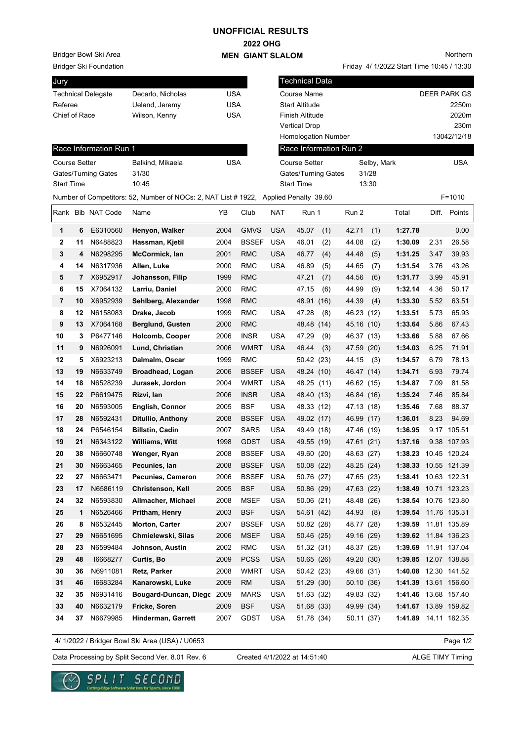## **UNOFFICIAL RESULTS**

## **2022 OHG**

Friday 4/ 1/2022 Start Time 10:45 / 13:30

Northern

**MEN GIANT SLALOM**

Bridger Ski Foundation Bridger Bowl Ski Area

| Jury                      |    |                        |                                                                                      |            |              | Technical Data                      |                            |     |            |       |                      |              |              |  |  |
|---------------------------|----|------------------------|--------------------------------------------------------------------------------------|------------|--------------|-------------------------------------|----------------------------|-----|------------|-------|----------------------|--------------|--------------|--|--|
| <b>Technical Delegate</b> |    |                        | Decarlo, Nicholas                                                                    | <b>USA</b> |              |                                     | <b>Course Name</b>         |     |            |       |                      | DEER PARK GS |              |  |  |
| Referee                   |    |                        | Ueland, Jeremy                                                                       | <b>USA</b> |              | <b>Start Altitude</b>               |                            |     |            |       | 2250m                |              |              |  |  |
| Chief of Race             |    |                        | <b>USA</b><br>Wilson, Kenny                                                          |            |              | Finish Altitude                     |                            |     |            |       | 2020m                |              |              |  |  |
|                           |    |                        |                                                                                      |            |              | <b>Vertical Drop</b>                |                            |     |            |       |                      | 230m         |              |  |  |
|                           |    |                        |                                                                                      |            |              |                                     | <b>Homologation Number</b> |     |            |       |                      |              | 13042/12/18  |  |  |
|                           |    | Race Information Run 1 |                                                                                      |            |              |                                     | Race Information Run 2     |     |            |       |                      |              |              |  |  |
| <b>Course Setter</b>      |    |                        | Balkind, Mikaela                                                                     | <b>USA</b> |              | <b>Course Setter</b><br>Selby, Mark |                            |     |            |       |                      |              | <b>USA</b>   |  |  |
| Gates/Turning Gates       |    |                        | 31/30                                                                                |            |              | Gates/Turning Gates                 |                            |     |            | 31/28 |                      |              |              |  |  |
| <b>Start Time</b>         |    |                        | 10:45                                                                                |            |              |                                     | <b>Start Time</b>          |     |            | 13:30 |                      |              |              |  |  |
|                           |    |                        | Number of Competitors: 52, Number of NOCs: 2, NAT List # 1922, Applied Penalty 39.60 |            |              |                                     |                            |     |            |       |                      |              | $F = 1010$   |  |  |
|                           |    | Rank Bib NAT Code      | Name                                                                                 | YB         | Club         | <b>NAT</b>                          | Run 1                      |     | Run 2      |       | Total                |              | Diff. Points |  |  |
| 1                         | 6  | E6310560               | Henyon, Walker                                                                       | 2004       | <b>GMVS</b>  | <b>USA</b>                          | 45.07                      | (1) | 42.71      | (1)   | 1:27.78              |              | 0.00         |  |  |
| $\mathbf{2}$              | 11 | N6488823               | Hassman, Kjetil                                                                      | 2004       | <b>BSSEF</b> | <b>USA</b>                          | 46.01                      | (2) | 44.08      | (2)   | 1:30.09              | 2.31         | 26.58        |  |  |
| 3                         | 4  | N6298295               | McCormick, lan                                                                       | 2001       | <b>RMC</b>   | <b>USA</b>                          | 46.77                      | (4) | 44.48      | (5)   | 1:31.25              | 3.47         | 39.93        |  |  |
| 4                         | 14 | N6317936               | Allen, Luke                                                                          | 2000       | <b>RMC</b>   | <b>USA</b>                          | 46.89                      | (5) | 44.65      | (7)   | 1:31.54              | 3.76         | 43.26        |  |  |
| 5                         | 7  | X6952917               | Johansson, Filip                                                                     | 1999       | <b>RMC</b>   |                                     | 47.21                      | (7) | 44.56      | (6)   | 1:31.77              | 3.99         | 45.91        |  |  |
| 6                         | 15 | X7064132               | Larriu, Daniel                                                                       | 2000       | <b>RMC</b>   |                                     | 47.15                      | (6) | 44.99      | (9)   | 1:32.14              | 4.36         | 50.17        |  |  |
| 7                         | 10 | X6952939               | Sehlberg, Alexander                                                                  | 1998       | <b>RMC</b>   |                                     | 48.91 (16)                 |     | 44.39      | (4)   | 1:33.30              | 5.52         | 63.51        |  |  |
| 8                         | 12 | N6158083               | Drake, Jacob                                                                         | 1999       | <b>RMC</b>   | <b>USA</b>                          | 47.28                      | (8) | 46.23 (12) |       | 1:33.51              | 5.73         | 65.93        |  |  |
| 9                         | 13 | X7064168               | <b>Berglund, Gusten</b>                                                              | 2000       | <b>RMC</b>   |                                     | 48.48 (14)                 |     | 45.16 (10) |       | 1:33.64              | 5.86         | 67.43        |  |  |
| 10                        | 3  | P6477146               | Holcomb, Cooper                                                                      | 2006       | <b>INSR</b>  | <b>USA</b>                          | 47.29                      | (9) | 46.37 (13) |       | 1:33.66              | 5.88         | 67.66        |  |  |
| 11                        | 9  | N6926091               | Lund, Christian                                                                      | 2006       | <b>WMRT</b>  | USA                                 | 46.44                      | (3) | 47.59 (20) |       | 1:34.03              | 6.25         | 71.91        |  |  |
| 12                        | 5  | X6923213               | Dalmalm, Oscar                                                                       | 1999       | <b>RMC</b>   |                                     | 50.42 (23)                 |     | 44.15      | (3)   | 1:34.57              | 6.79         | 78.13        |  |  |
| 13                        | 19 | N6633749               | Broadhead, Logan                                                                     | 2006       | <b>BSSEF</b> | <b>USA</b>                          | 48.24 (10)                 |     | 46.47 (14) |       | 1:34.71              | 6.93         | 79.74        |  |  |
| 14                        | 18 | N6528239               | Jurasek, Jordon                                                                      | 2004       | <b>WMRT</b>  | <b>USA</b>                          | 48.25 (11)                 |     | 46.62 (15) |       | 1:34.87              | 7.09         | 81.58        |  |  |
| 15                        | 22 | P6619475               | Rizvi, lan                                                                           | 2006       | <b>INSR</b>  | <b>USA</b>                          | 48.40 (13)                 |     | 46.84 (16) |       | 1:35.24              | 7.46         | 85.84        |  |  |
| 16                        | 20 | N6593005               | English, Connor                                                                      | 2005       | <b>BSF</b>   | <b>USA</b>                          | 48.33 (12)                 |     | 47.13 (18) |       | 1:35.46              | 7.68         | 88.37        |  |  |
| 17                        | 28 | N6592431               | Ditullio, Anthony                                                                    | 2008       | <b>BSSEF</b> | <b>USA</b>                          | 49.02 (17)                 |     | 46.99 (17) |       | 1:36.01              | 8.23         | 94.69        |  |  |
| 18                        | 24 | P6546154               | <b>Billstin, Cadin</b>                                                               | 2007       | <b>SARS</b>  | <b>USA</b>                          | 49.49 (18)                 |     | 47.46 (19) |       | 1:36.95              |              | 9.17 105.51  |  |  |
| 19                        | 21 | N6343122               | <b>Williams, Witt</b>                                                                | 1998       | <b>GDST</b>  | <b>USA</b>                          | 49.55 (19)                 |     | 47.61 (21) |       | 1:37.16              |              | 9.38 107.93  |  |  |
| 20                        | 38 | N6660748               | Wenger, Ryan                                                                         | 2008       | <b>BSSEF</b> | <b>USA</b>                          | 49.60 (20)                 |     | 48.63      | (27)  | 1:38.23              |              | 10.45 120.24 |  |  |
| 21                        | 30 | N6663465               | Pecunies, lan                                                                        | 2008       | <b>BSSEF</b> | <b>USA</b>                          | 50.08 (22)                 |     | 48.25 (24) |       | 1:38.33 10.55 121.39 |              |              |  |  |
| 22                        | 27 | N6663471               | Pecunies, Cameron                                                                    | 2006       | BSSEF        | USA                                 | 50.76 (27)                 |     | 47.65 (23) |       | 1:38.41 10.63 122.31 |              |              |  |  |
| 23                        | 17 | N6586119               | Christenson, Kell                                                                    | 2005       | <b>BSF</b>   | <b>USA</b>                          | 50.86 (29)                 |     | 47.63 (22) |       | 1:38.49 10.71 123.23 |              |              |  |  |
| 24                        | 32 | N6593830               | Allmacher, Michael                                                                   | 2008       | MSEF         | USA                                 | 50.06(21)                  |     | 48.48 (26) |       | 1:38.54 10.76 123.80 |              |              |  |  |
| 25                        | 1  | N6526466               | Pritham, Henry                                                                       | 2003       | <b>BSF</b>   | <b>USA</b>                          | 54.61 (42)                 |     | 44.93 (8)  |       | 1:39.54 11.76 135.31 |              |              |  |  |
| 26                        | 8  | N6532445               | Morton, Carter                                                                       | 2007       | <b>BSSEF</b> | USA                                 | 50.82 (28)                 |     | 48.77 (28) |       | 1:39.59 11.81 135.89 |              |              |  |  |
| 27                        | 29 | N6651695               | Chmielewski, Silas                                                                   | 2006       | <b>MSEF</b>  | <b>USA</b>                          | 50.46 (25)                 |     | 49.16 (29) |       | 1:39.62 11.84 136.23 |              |              |  |  |
| 28                        | 23 | N6599484               | Johnson, Austin                                                                      | 2002       | RMC          | <b>USA</b>                          | 51.32 (31)                 |     | 48.37 (25) |       | 1:39.69 11.91 137.04 |              |              |  |  |
| 29                        | 48 | 16668277               | Curtis, Bo                                                                           | 2009       | <b>PCSS</b>  | <b>USA</b>                          | 50.65 (26)                 |     | 49.20 (30) |       | 1:39.85 12.07 138.88 |              |              |  |  |
| 30                        | 36 | N6911081               | Retz, Parker                                                                         | 2008       | <b>WMRT</b>  | USA                                 | 50.42 (23)                 |     | 49.66 (31) |       | 1:40.08 12.30 141.52 |              |              |  |  |
| 31                        | 46 | 16683284               | Kanarowski, Luke                                                                     | 2009       | <b>RM</b>    | <b>USA</b>                          | 51.29 (30)                 |     | 50.10 (36) |       | 1:41.39 13.61 156.60 |              |              |  |  |
| 32                        | 35 | N6931416               | Bougard-Duncan, Diegc 2009                                                           |            | <b>MARS</b>  | <b>USA</b>                          | 51.63 (32)                 |     | 49.83 (32) |       | 1:41.46 13.68 157.40 |              |              |  |  |
| 33                        | 40 | N6632179               | Fricke, Soren                                                                        | 2009       | <b>BSF</b>   | <b>USA</b>                          | 51.68 (33)                 |     | 49.99 (34) |       | 1:41.67 13.89 159.82 |              |              |  |  |
| 34                        | 37 | N6679985               | Hinderman, Garrett                                                                   | 2007       | GDST         | USA                                 | 51.78 (34)                 |     | 50.11(37)  |       | 1:41.89 14.11 162.35 |              |              |  |  |

4/ 1/2022 / Bridger Bowl Ski Area (USA) / U0653

Page 1/2

Data Processing by Split Second Ver. 8.01 Rev. 6 Created 4/1/2022 at 14:51:40 ALGE TIMY Timing

Created 4/1/2022 at 14:51:40